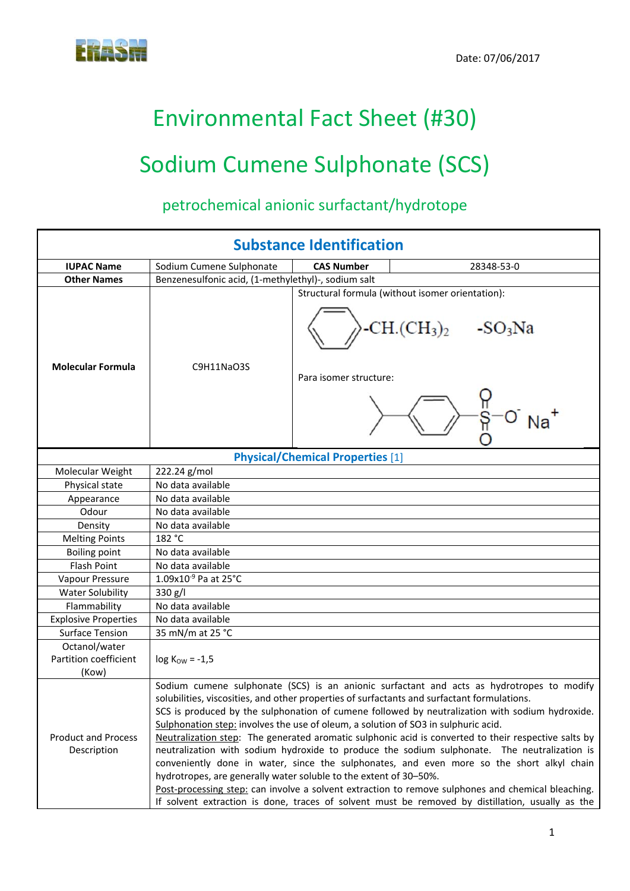

# Environmental Fact Sheet (#30) Sodium Cumene Sulphonate (SCS)

## petrochemical anionic surfactant/hydrotope

| <b>Substance Identification</b>                 |                                                                                                                                                                                                                                                                                                                                                                                                                                                                                                                                                                                                                                                                                                                                                                                                                                                                                                                                                                       |                        |                                                                                     |  |
|-------------------------------------------------|-----------------------------------------------------------------------------------------------------------------------------------------------------------------------------------------------------------------------------------------------------------------------------------------------------------------------------------------------------------------------------------------------------------------------------------------------------------------------------------------------------------------------------------------------------------------------------------------------------------------------------------------------------------------------------------------------------------------------------------------------------------------------------------------------------------------------------------------------------------------------------------------------------------------------------------------------------------------------|------------------------|-------------------------------------------------------------------------------------|--|
| <b>IUPAC Name</b>                               | Sodium Cumene Sulphonate                                                                                                                                                                                                                                                                                                                                                                                                                                                                                                                                                                                                                                                                                                                                                                                                                                                                                                                                              | <b>CAS Number</b>      | 28348-53-0                                                                          |  |
| <b>Other Names</b>                              | Benzenesulfonic acid, (1-methylethyl)-, sodium salt                                                                                                                                                                                                                                                                                                                                                                                                                                                                                                                                                                                                                                                                                                                                                                                                                                                                                                                   |                        |                                                                                     |  |
|                                                 |                                                                                                                                                                                                                                                                                                                                                                                                                                                                                                                                                                                                                                                                                                                                                                                                                                                                                                                                                                       |                        | Structural formula (without isomer orientation):<br>$CH.(CH3)2$ -SO <sub>3</sub> Na |  |
| <b>Molecular Formula</b>                        | C9H11NaO3S                                                                                                                                                                                                                                                                                                                                                                                                                                                                                                                                                                                                                                                                                                                                                                                                                                                                                                                                                            | Para isomer structure: |                                                                                     |  |
|                                                 |                                                                                                                                                                                                                                                                                                                                                                                                                                                                                                                                                                                                                                                                                                                                                                                                                                                                                                                                                                       |                        |                                                                                     |  |
| <b>Physical/Chemical Properties [1]</b>         |                                                                                                                                                                                                                                                                                                                                                                                                                                                                                                                                                                                                                                                                                                                                                                                                                                                                                                                                                                       |                        |                                                                                     |  |
| Molecular Weight                                | 222.24 g/mol                                                                                                                                                                                                                                                                                                                                                                                                                                                                                                                                                                                                                                                                                                                                                                                                                                                                                                                                                          |                        |                                                                                     |  |
| Physical state                                  | No data available                                                                                                                                                                                                                                                                                                                                                                                                                                                                                                                                                                                                                                                                                                                                                                                                                                                                                                                                                     |                        |                                                                                     |  |
| Appearance                                      | No data available                                                                                                                                                                                                                                                                                                                                                                                                                                                                                                                                                                                                                                                                                                                                                                                                                                                                                                                                                     |                        |                                                                                     |  |
| Odour                                           | No data available                                                                                                                                                                                                                                                                                                                                                                                                                                                                                                                                                                                                                                                                                                                                                                                                                                                                                                                                                     |                        |                                                                                     |  |
| Density                                         | No data available                                                                                                                                                                                                                                                                                                                                                                                                                                                                                                                                                                                                                                                                                                                                                                                                                                                                                                                                                     |                        |                                                                                     |  |
| <b>Melting Points</b>                           | 182 °C                                                                                                                                                                                                                                                                                                                                                                                                                                                                                                                                                                                                                                                                                                                                                                                                                                                                                                                                                                |                        |                                                                                     |  |
| <b>Boiling point</b>                            | No data available                                                                                                                                                                                                                                                                                                                                                                                                                                                                                                                                                                                                                                                                                                                                                                                                                                                                                                                                                     |                        |                                                                                     |  |
| <b>Flash Point</b>                              | No data available                                                                                                                                                                                                                                                                                                                                                                                                                                                                                                                                                                                                                                                                                                                                                                                                                                                                                                                                                     |                        |                                                                                     |  |
| Vapour Pressure                                 | 1.09x10-9 Pa at 25°C                                                                                                                                                                                                                                                                                                                                                                                                                                                                                                                                                                                                                                                                                                                                                                                                                                                                                                                                                  |                        |                                                                                     |  |
| <b>Water Solubility</b>                         | 330 g/l                                                                                                                                                                                                                                                                                                                                                                                                                                                                                                                                                                                                                                                                                                                                                                                                                                                                                                                                                               |                        |                                                                                     |  |
| Flammability                                    | No data available                                                                                                                                                                                                                                                                                                                                                                                                                                                                                                                                                                                                                                                                                                                                                                                                                                                                                                                                                     |                        |                                                                                     |  |
| <b>Explosive Properties</b>                     | No data available                                                                                                                                                                                                                                                                                                                                                                                                                                                                                                                                                                                                                                                                                                                                                                                                                                                                                                                                                     |                        |                                                                                     |  |
| <b>Surface Tension</b>                          | 35 mN/m at 25 °C                                                                                                                                                                                                                                                                                                                                                                                                                                                                                                                                                                                                                                                                                                                                                                                                                                                                                                                                                      |                        |                                                                                     |  |
| Octanol/water<br>Partition coefficient<br>(Kow) | $log Kow = -1.5$                                                                                                                                                                                                                                                                                                                                                                                                                                                                                                                                                                                                                                                                                                                                                                                                                                                                                                                                                      |                        |                                                                                     |  |
| <b>Product and Process</b><br>Description       | Sodium cumene sulphonate (SCS) is an anionic surfactant and acts as hydrotropes to modify<br>solubilities, viscosities, and other properties of surfactants and surfactant formulations.<br>SCS is produced by the sulphonation of cumene followed by neutralization with sodium hydroxide.<br>Sulphonation step: involves the use of oleum, a solution of SO3 in sulphuric acid.<br>Neutralization step: The generated aromatic sulphonic acid is converted to their respective salts by<br>neutralization with sodium hydroxide to produce the sodium sulphonate. The neutralization is<br>conveniently done in water, since the sulphonates, and even more so the short alkyl chain<br>hydrotropes, are generally water soluble to the extent of 30-50%.<br>Post-processing step: can involve a solvent extraction to remove sulphones and chemical bleaching.<br>If solvent extraction is done, traces of solvent must be removed by distillation, usually as the |                        |                                                                                     |  |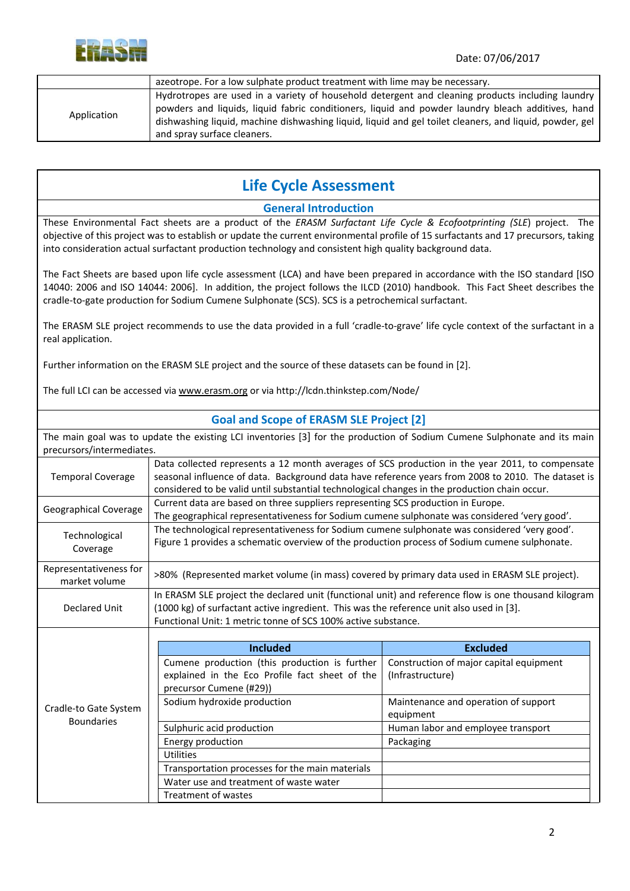

|             | azeotrope. For a low sulphate product treatment with lime may be necessary.                                                                                                                                                                                                                                                                     |  |  |
|-------------|-------------------------------------------------------------------------------------------------------------------------------------------------------------------------------------------------------------------------------------------------------------------------------------------------------------------------------------------------|--|--|
| Application | Hydrotropes are used in a variety of household detergent and cleaning products including laundry<br>powders and liquids, liquid fabric conditioners, liquid and powder laundry bleach additives, hand<br>dishwashing liquid, machine dishwashing liquid, liquid and gel toilet cleaners, and liquid, powder, gel<br>and spray surface cleaners. |  |  |

### **Life Cycle Assessment**

#### **General Introduction**

These Environmental Fact sheets are a product of the *ERASM Surfactant Life Cycle & Ecofootprinting (SLE*) project. The objective of this project was to establish or update the current environmental profile of 15 surfactants and 17 precursors, taking into consideration actual surfactant production technology and consistent high quality background data.

The Fact Sheets are based upon life cycle assessment (LCA) and have been prepared in accordance with the ISO standard [ISO 14040: 2006 and ISO 14044: 2006]. In addition, the project follows the ILCD (2010) handbook. This Fact Sheet describes the cradle‐to‐gate production for Sodium Cumene Sulphonate (SCS). SCS is a petrochemical surfactant.

The ERASM SLE project recommends to use the data provided in a full 'cradle-to-grave' life cycle context of the surfactant in a real application.

Further information on the ERASM SLE project and the source of these datasets can be found in [2].

The full LCI can be accessed via www.erasm.org or via http://lcdn.thinkstep.com/Node/

#### **Goal and Scope of ERASM SLE Project [2]**

| precursors/intermediates.                  | The main goal was to update the existing LCI inventories [3] for the production of Sodium Cumene Sulphonate and its main                                                                                                                                                                               |                                                             |  |
|--------------------------------------------|--------------------------------------------------------------------------------------------------------------------------------------------------------------------------------------------------------------------------------------------------------------------------------------------------------|-------------------------------------------------------------|--|
| <b>Temporal Coverage</b>                   | Data collected represents a 12 month averages of SCS production in the year 2011, to compensate<br>seasonal influence of data. Background data have reference years from 2008 to 2010. The dataset is<br>considered to be valid until substantial technological changes in the production chain occur. |                                                             |  |
| Geographical Coverage                      | Current data are based on three suppliers representing SCS production in Europe.<br>The geographical representativeness for Sodium cumene sulphonate was considered 'very good'.                                                                                                                       |                                                             |  |
| Technological<br>Coverage                  | The technological representativeness for Sodium cumene sulphonate was considered 'very good'.<br>Figure 1 provides a schematic overview of the production process of Sodium cumene sulphonate.                                                                                                         |                                                             |  |
| Representativeness for<br>market volume    | >80% (Represented market volume (in mass) covered by primary data used in ERASM SLE project).                                                                                                                                                                                                          |                                                             |  |
| <b>Declared Unit</b>                       | In ERASM SLE project the declared unit (functional unit) and reference flow is one thousand kilogram<br>(1000 kg) of surfactant active ingredient. This was the reference unit also used in [3].<br>Functional Unit: 1 metric tonne of SCS 100% active substance.                                      |                                                             |  |
|                                            |                                                                                                                                                                                                                                                                                                        |                                                             |  |
|                                            | <b>Included</b>                                                                                                                                                                                                                                                                                        | <b>Excluded</b>                                             |  |
| Cradle-to Gate System<br><b>Boundaries</b> | Cumene production (this production is further<br>explained in the Eco Profile fact sheet of the<br>precursor Cumene (#29))                                                                                                                                                                             | Construction of major capital equipment<br>(Infrastructure) |  |
|                                            | Sodium hydroxide production                                                                                                                                                                                                                                                                            | Maintenance and operation of support<br>equipment           |  |
|                                            | Sulphuric acid production                                                                                                                                                                                                                                                                              | Human labor and employee transport                          |  |
|                                            | Energy production                                                                                                                                                                                                                                                                                      | Packaging                                                   |  |
|                                            | <b>Utilities</b>                                                                                                                                                                                                                                                                                       |                                                             |  |
|                                            | Transportation processes for the main materials                                                                                                                                                                                                                                                        |                                                             |  |
|                                            | Water use and treatment of waste water                                                                                                                                                                                                                                                                 |                                                             |  |
|                                            | Treatment of wastes                                                                                                                                                                                                                                                                                    |                                                             |  |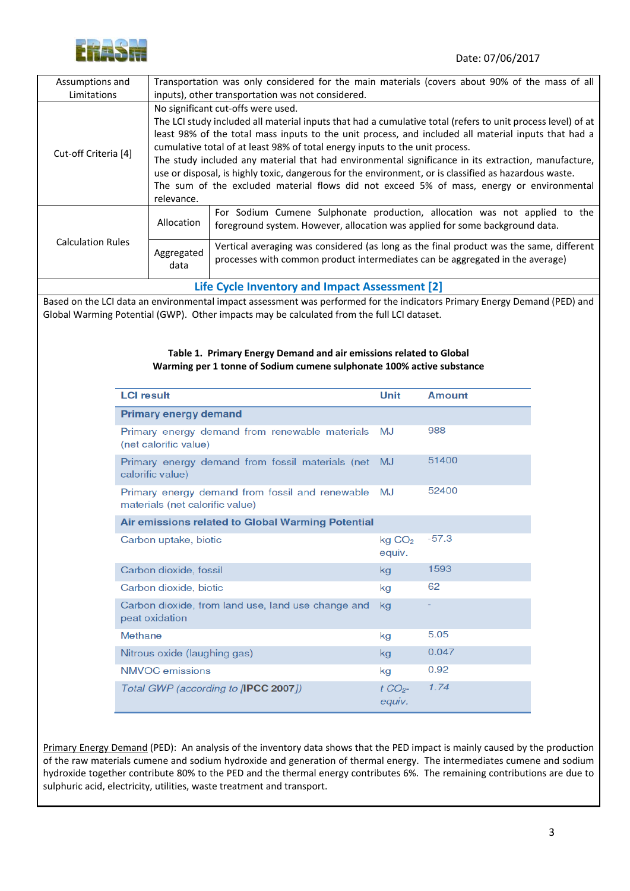

| Assumptions and                                | Transportation was only considered for the main materials (covers about 90% of the mass of all                                                                                                                                                                                                                                                                                                                                                                                                                                                                                                                                                                      |                                                                                                                                                                          |  |
|------------------------------------------------|---------------------------------------------------------------------------------------------------------------------------------------------------------------------------------------------------------------------------------------------------------------------------------------------------------------------------------------------------------------------------------------------------------------------------------------------------------------------------------------------------------------------------------------------------------------------------------------------------------------------------------------------------------------------|--------------------------------------------------------------------------------------------------------------------------------------------------------------------------|--|
| Limitations                                    | inputs), other transportation was not considered.                                                                                                                                                                                                                                                                                                                                                                                                                                                                                                                                                                                                                   |                                                                                                                                                                          |  |
| Cut-off Criteria [4]                           | No significant cut-offs were used.<br>The LCI study included all material inputs that had a cumulative total (refers to unit process level) of at<br>least 98% of the total mass inputs to the unit process, and included all material inputs that had a<br>cumulative total of at least 98% of total energy inputs to the unit process.<br>The study included any material that had environmental significance in its extraction, manufacture,<br>use or disposal, is highly toxic, dangerous for the environment, or is classified as hazardous waste.<br>The sum of the excluded material flows did not exceed 5% of mass, energy or environmental<br>relevance. |                                                                                                                                                                          |  |
| <b>Calculation Rules</b>                       | Allocation                                                                                                                                                                                                                                                                                                                                                                                                                                                                                                                                                                                                                                                          | For Sodium Cumene Sulphonate production, allocation was not applied to the<br>foreground system. However, allocation was applied for some background data.               |  |
|                                                | Aggregated<br>data                                                                                                                                                                                                                                                                                                                                                                                                                                                                                                                                                                                                                                                  | Vertical averaging was considered (as long as the final product was the same, different<br>processes with common product intermediates can be aggregated in the average) |  |
| Life Cycle Inventory and Impact Assessment [2] |                                                                                                                                                                                                                                                                                                                                                                                                                                                                                                                                                                                                                                                                     |                                                                                                                                                                          |  |

Based on the LCI data an environmental impact assessment was performed for the indicators Primary Energy Demand (PED) and Global Warming Potential (GWP). Other impacts may be calculated from the full LCI dataset.

#### **Table 1. Primary Energy Demand and air emissions related to Global Warming per 1 tonne of Sodium cumene sulphonate 100% active substance**

| <b>LCI result</b>                                                                  |                             | <b>Amount</b> |
|------------------------------------------------------------------------------------|-----------------------------|---------------|
| <b>Primary energy demand</b>                                                       |                             |               |
| Primary energy demand from renewable materials<br>(net calorific value)            | MJ                          | 988           |
| Primary energy demand from fossil materials (net<br>calorific value)               | MJ.                         | 51400         |
| Primary energy demand from fossil and renewable<br>materials (net calorific value) |                             | 52400         |
| Air emissions related to Global Warming Potential                                  |                             |               |
| Carbon uptake, biotic                                                              |                             | $-57.3$       |
| Carbon dioxide, fossil                                                             | kg                          | 1593          |
| Carbon dioxide, biotic                                                             | kg                          | 62            |
| Carbon dioxide, from land use, land use change and<br>peat oxidation               | kg                          |               |
| Methane                                                                            | kg                          | 5.05          |
| Nitrous oxide (laughing gas)                                                       | kg                          | 0.047         |
| <b>NMVOC</b> emissions                                                             | kg                          | 0.92          |
| Total GWP (according to <b>IPCC 2007</b> ])                                        | t CO <sub>2</sub><br>equiv. | 1.74          |

Primary Energy Demand (PED): An analysis of the inventory data shows that the PED impact is mainly caused by the production of the raw materials cumene and sodium hydroxide and generation of thermal energy. The intermediates cumene and sodium hydroxide together contribute 80% to the PED and the thermal energy contributes 6%. The remaining contributions are due to sulphuric acid, electricity, utilities, waste treatment and transport.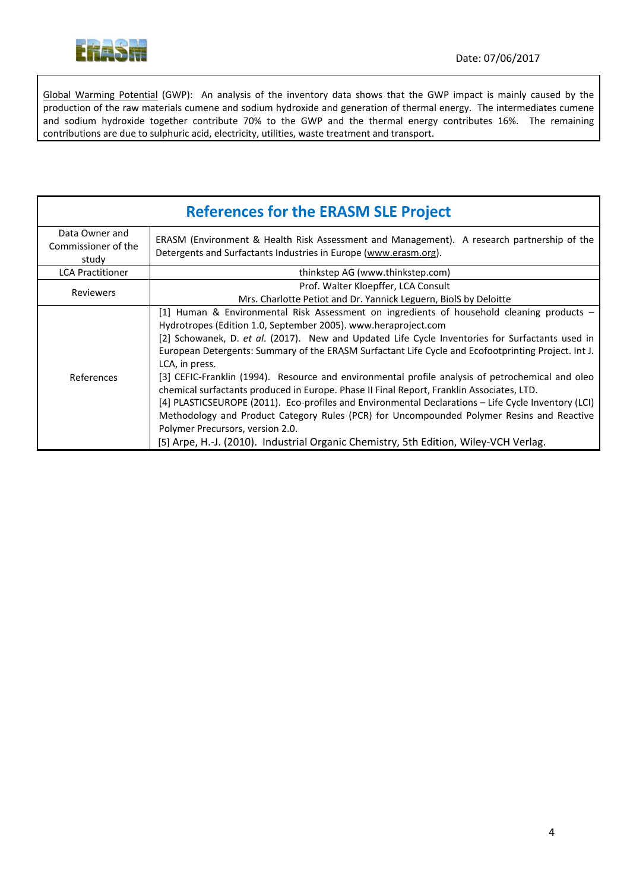

Global Warming Potential (GWP): An analysis of the inventory data shows that the GWP impact is mainly caused by the production of the raw materials cumene and sodium hydroxide and generation of thermal energy. The intermediates cumene and sodium hydroxide together contribute 70% to the GWP and the thermal energy contributes 16%. The remaining contributions are due to sulphuric acid, electricity, utilities, waste treatment and transport.

| <b>References for the ERASM SLE Project</b>    |                                                                                                                                                                                                                                                                                                                                                                                                                                                                                                                                                                                                                                                                                                                                                                                                                                                                                                                          |  |  |
|------------------------------------------------|--------------------------------------------------------------------------------------------------------------------------------------------------------------------------------------------------------------------------------------------------------------------------------------------------------------------------------------------------------------------------------------------------------------------------------------------------------------------------------------------------------------------------------------------------------------------------------------------------------------------------------------------------------------------------------------------------------------------------------------------------------------------------------------------------------------------------------------------------------------------------------------------------------------------------|--|--|
| Data Owner and<br>Commissioner of the<br>study | ERASM (Environment & Health Risk Assessment and Management). A research partnership of the<br>Detergents and Surfactants Industries in Europe (www.erasm.org).                                                                                                                                                                                                                                                                                                                                                                                                                                                                                                                                                                                                                                                                                                                                                           |  |  |
| <b>LCA Practitioner</b>                        | thinkstep AG (www.thinkstep.com)                                                                                                                                                                                                                                                                                                                                                                                                                                                                                                                                                                                                                                                                                                                                                                                                                                                                                         |  |  |
| Reviewers                                      | Prof. Walter Kloepffer, LCA Consult<br>Mrs. Charlotte Petiot and Dr. Yannick Leguern, BiolS by Deloitte                                                                                                                                                                                                                                                                                                                                                                                                                                                                                                                                                                                                                                                                                                                                                                                                                  |  |  |
| References                                     | [1] Human & Environmental Risk Assessment on ingredients of household cleaning products –<br>Hydrotropes (Edition 1.0, September 2005). www.heraproject.com<br>[2] Schowanek, D. et al. (2017). New and Updated Life Cycle Inventories for Surfactants used in<br>European Detergents: Summary of the ERASM Surfactant Life Cycle and Ecofootprinting Project. Int J.<br>LCA, in press.<br>[3] CEFIC-Franklin (1994). Resource and environmental profile analysis of petrochemical and oleo<br>chemical surfactants produced in Europe. Phase II Final Report, Franklin Associates, LTD.<br>[4] PLASTICSEUROPE (2011). Eco-profiles and Environmental Declarations - Life Cycle Inventory (LCI)<br>Methodology and Product Category Rules (PCR) for Uncompounded Polymer Resins and Reactive<br>Polymer Precursors, version 2.0.<br>[5] Arpe, H.-J. (2010). Industrial Organic Chemistry, 5th Edition, Wiley-VCH Verlag. |  |  |